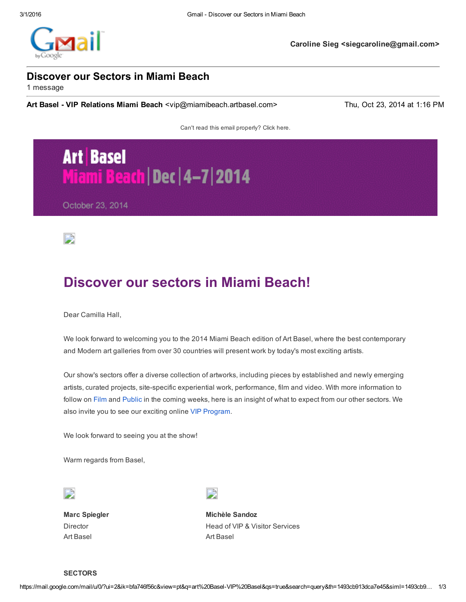

**Caroline Sieg <siegcaroline@gmail.com>**

### **Discover our Sectors in Miami Beach**

1 message

**Art Basel VIP Relations Miami Beach** <vip@miamibeach.artbasel.com> Thu, Oct 23, 2014 at 1:16 PM

Can't read this email properly? Click [here.](http://www.xcampaign.ch/dispatcher/service?ac=mapre&m=12141023131639485424)

# **Art Basel** Miami Beach | Dec | 4-7 | 2014

October 23, 2014



## **Discover our sectors in Miami Beach!**

Dear Camilla Hall,

We look forward to welcoming you to the 2014 Miami Beach edition of Art Basel, where the best contemporary and Modern art galleries from over 30 countries will present work by today's most exciting artists.

Our show's sectors offer a diverse collection of artworks, including pieces by established and newly emerging artists, curated projects, site-specific experiential work, performance, film and video. With more information to follow on [Film](http://www.xcampaign.ch/dispatcher/service?kh=141021122801357823&l=en&o=0&a=12141023131639485424) and [Public](http://www.xcampaign.ch/dispatcher/service?kh=141021122801397827&l=en&o=0&a=12141023131639485424) in the coming weeks, here is an insight of what to expect from our other sectors. We also invite you to see our exciting online VIP [Program.](http://www.xcampaign.ch/dispatcher/service?kh=141022112527406439&l=en&o=0&a=12141023131639485424)

We look forward to seeing you at the show!

Warm regards from Basel,



**Marc Spiegler** Director Art Basel

D

**Michèle Sandoz** Head of VIP & Visitor Services Art Basel

**SECTORS**